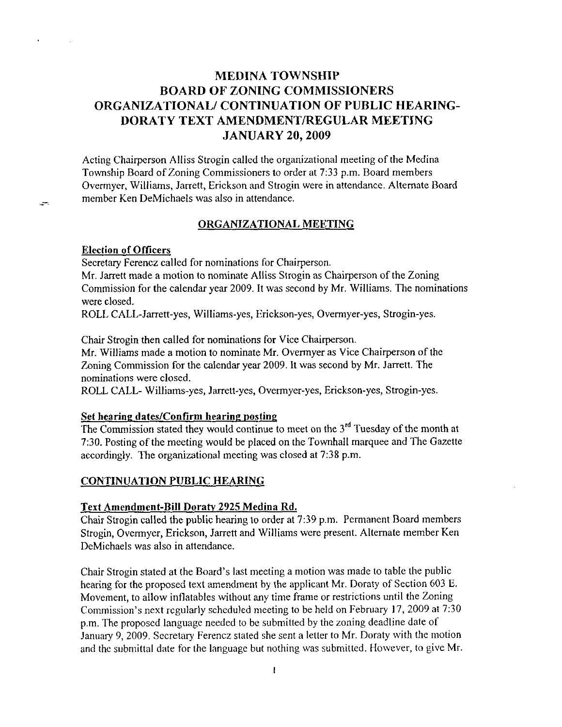# **MEDINA TOWNSHIP** BOARD OF ZONING COMMISSIONERS ORGANIZATIONAL/ CONTINUATION OF PUBLIC HEARING-DORATY TEXT AMENDMENT/REGULAR MEETING JANUARY 20,2009

Acting Chairperson Alliss Strogin called the organizational meeting of the Medina Township Board of Zoning Commissioners to order at 7:33 p.m. Board members Overmyer, Williams, Jarrett, Erickson and Strogin were in attendance. Altemate Board member Ken DeMichaels was also in attendance.

### ORGANIZATIONAL MEETING

#### Election of Officers

 $\sim$ 

Secretary Ferencz called for nominations for Chairperson.

Mr. Jarrett made a motion to nominate Alliss Strogin as Chairperson of the Zoning Commission for the calendar year 2009. It was second by Mr. Williams. The nominations were closed.

ROLL CALL-Jarrett-yes, Williams-yes, Erickson-yes, Overmyer-yes, Strogin-yes.

Chair Strogin then called for nominations for Vice Chairperson.

Mr. Williams made a motion to nominate Mr. Overmyer as Vice Chairperson of the Zoning Commission for the calendar year 2009. It was second by Mr. Jarrett. The nominations were closed.

ROLL CALL- Williams-yes, Jarrett-yes, Overmyer-yes, Erickson-yes, Strogin-yes.

# Set hearing dates/Confirm hearing posting

The Commission stated they would continue to meet on the  $3<sup>rd</sup>$  Tuesday of the month at 7:30. Posting of the meeting would be placed on the Townhall marquee and The Gazette accordingly. The organizational meeting was closed at 7:38 p.m.

### CONTINUATION PUBLIC HEARING

#### Text Amendment-Bill Dorafy 2925 Medina Rd.

Chair Strogin called the public hearing 1o order at 7:39 p.m. Pemranent Board members Strogin, Overmyer, Erickson, Janett and Williams were present. Altemate member Ken DeMichaels was also in attendance.

Chair Strogin stated at the Board's last meeting a motion was made to table the public hearing for the proposed text amendment by the applicant Mr. Doraty of Section 603 E. Movement, to allow inflatables without any time frame or restrictions until the Zoning Commission's next regularly scheduled meeting to be held on February 17, 2009 at  $7:30$ p-m. The proposcd language needed to bc submitted by the zoning deadline date of January 9, 2009. Secretary Ferencz stated she sent a letter to Mr. Doraty with the motion and the submittal date for the language but nothing was submitted. However, to give Mr.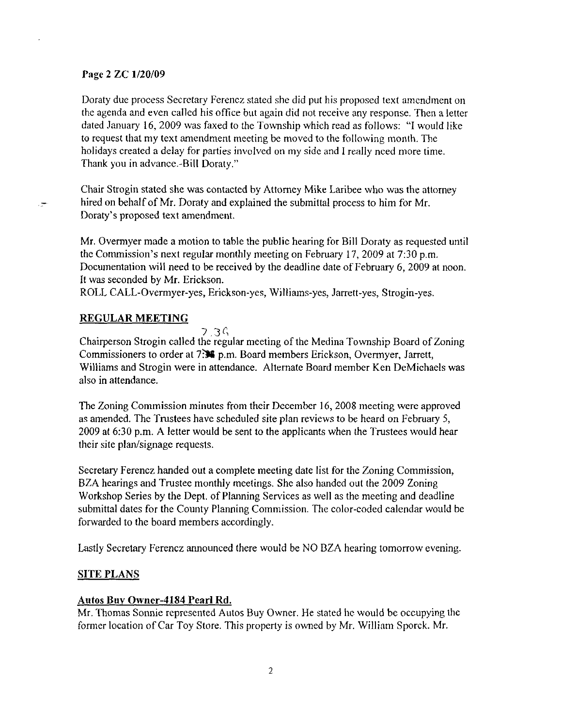### Page 2 ZC 1/20/09

Doraty due process Secrctary Ferencz stated she did put his proposed text amendment on the agenda and even called his office but again did not receive any response. Then a letter dated January 16,2009 was faxed to the Township which read as follows: "l would like to request that my text amendment meeting be moved to the following month. The holidays created a delay for parties involved on my side and I really nced more time. Thank you in advance.-Bill Doraty."

Chair Strogin stated she was contacted by Attomey Mike Laribee who was the attomey  $\mathcal{F}$  hired on behalf of Mr. Doraty and explained the submittal process to him for Mr. Doraty's proposed text amendnent.

Mr. Overmyer made a motion to table the public hearing for Bill Doraty as requested until the Commission's next regular monthly meeting on February l7,2009 at 7:30 p.m. Documentation will need to be received by the deadline date of February 6, 2009 at noon. It was seconded by Mr. Erickson.

ROLL CALL-Overrnyer-yes, Erickson-yes, Williarns-yes, Jarrett-yes, Strogin-yes.

# REGULAR MEETING

 $7.3<sub>6</sub>$ 

Chairperson Strogin called the regular meeting of the Medina Township Board of Zoning Commissioners to order at 7. 第 p.m. Board members Erickson, Overmyer, Jarrett, Williams and Strogin were in attendance. Alternate Board member Ken DeMichaels was also in attendance.

The Zoning Commission minutes from their December 16, 2008 meeting were approved as amended. The Trustees have scheduled site plan reviews to be heard on February 5, 2009 at 6:30 p.m. A letter would be sent to the applicants when the Trustees would hear their site plan/signage requests.

Secretary Ferencz handed out a complete meeting date list for the Zoning Commission, BZA hearings and Trustee monthly meetings. She also handed out the 2009 Zoning Workshop Series by the Dept. of Planning Services as well as the meeting and deadline submittal dates for the County Planning Commission. The color-coded calendar would be forwarded to the board members accordingly.

Lastly Secretary Ferencz announced there would be NO BZA hearing tomorrow evening.

# SITE PLANS

# Autos Buv Owner-4184 Pearl Rd.

Mr. Thomas Sonnie represented Autos Buy Owner. He stated he would be occupying the former location of Car Toy Store. This property is owned by Mr. William Sporck. Mr.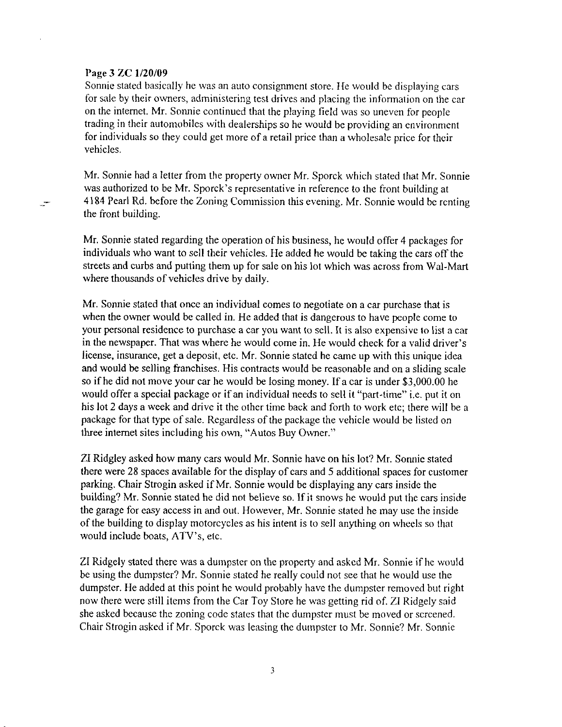#### Page 3 ZC 1/20/09

÷

Sonnie stated basically he was an auto consignment store. IIe would be displaying cars for sale by their owners, administering test drives and placing the information on the car on the intemet. Mr. Sonnie continued that the playing field was so uneven for people trading in their automobiles with dealerships so he would be providing an environment for individuals so they could get more of a retail price than a wholesale price for their vehicles.

Mr. Sonnie had a letter from the property owner Mr. Sporck which stated that Mr. Sonnie was authorized to be Mr. Sporck's representative in reference to the front building at 4184 Pearl Rd. before the Zoning Comrnission lhis evening. Mr. Sonnie would be rcnting the front building.

Mr. Sonnie stated regarding the operation of his business, he would offer 4 packages for individuals who want to sell their vehicles. He added he would be taking the cars off the streets and curbs and putting thern up for sale on his lot which was across from Wal-Mart where thousands of vehicles drive bv dailv.

Mr. Sonnie stated that once an individual comes to negotiate on a car purchase that is when the owner would be called in. He added that is dangerous to have people come to your personal residence to purchase a car you want to sell. It is also expensive to list a car in the newspaper. That was where he would come in. He would check for a valid driver's license, insurance, get a deposit, etc. Mr. Sonnie stated he came up with this unique idea and would be selling franchises. His contracts would be reasonable and on a sliding scale so if he did not move your car he would be losing money. If a car is under \$3,000.00 he would offer a special package or if an individual needs to selI it "part-time" i.e. put it on his lot 2 days a week and drive it the other time back and forth to work etc; there will be a package for that type of sale. Regardless of the package the vehicle would be listed on three internet sites including his own. "Autos Buy Owner."

ZI Ridgley asked how many cars would Mr. Sonnie have on his lot? Mr. Sonnie stated there were 28 spaces available for the display of cars and 5 additional spaces for customer parking. Chair Strogin asked if Mr. Sonnie would be displaying any cars inside the building? Mr. Sonnie stated he did not believe so. If it snows he would put the cars inside the garage for easy access in and out. However, Mr. Sonnie stated he may use the inside of the building to display motorcycles as his intent is to sell anything on wheels so that would include boats, ATV's, etc.

ZI Ridgely stated there was a dumpster on the property and asked Mr. Sonnie if he would be using the dumpster? Mr. Sonnie stated he really could not see that he would use the dumpster. He added at this point he would probably have the dumpster removed but right now there were still items from the Car Toy Store he was getting rid of. ZI Ridgely said she asked because the zoning code states that the dumpster must be moved or screened. Chair Strogin asked if Mr. Sporck was leasing the durnpster to Mr. Sonnie? Mr. Sonnie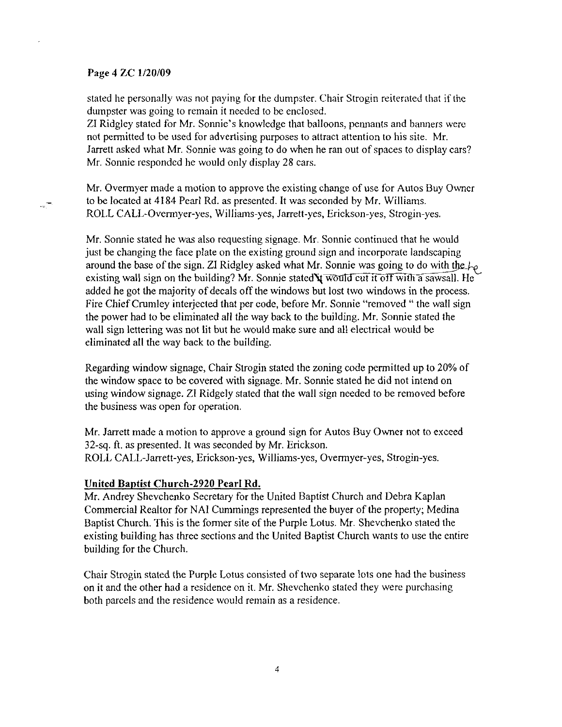#### Page 4 ZC l/20/09

۳.,

stated he personally was not paying for the dumpster. Chair Strogin reiterated that if the dunpster was going to remain it needed to be enclosed.

ZI Ridgley stated for Mr. Sonnie's knowledge that balloons, pennants and banners were not permitted to be used for advertising purposes to attract atlention to his site. Mr. Jarrett asked what Mr. Sonnie was going to do when he ran out of spaces to display cars? Mr. Sonnie responded he would only display 28 cars.

Mr. Overmyer made a motion to approve the existing change of use for Autos Buy Owncr to be located at 4184 Pearl Rd. as presented. It was seconded by Mr. Williams. ROLL CAll-Overmyer-yes, Williams-yes, Jarrett-yes, Erickson-yes, Strogin-yes.

Mr. Sonnie stated he was also requesting signage. Mr. Sonnie continued that he would just be changing the face plate on the existing ground sign and incorporate landscaping around the base of the sign. ZI Ridgley asked what Mr. Sonnie was going to do with the  $f_{\mathcal{P}}$ existing wall sign on the building? Mr. Sonnie stated  $\frac{1}{2}$  would cut it off with a sawsall. He added he got the majority of decals off the windows but lost two windows in the process. Fire Chief Crumley interjected that per code, before Mr. Sonnie "removed " the wall sign the power had to be eliminated all the way back to the building. Mr. Sonnie slated the wall sign lettering was not lit but he would make sure and all electrical would be eliminated all the way back to the building.

Regarding window signage, Chair Strogin stated the zoning code permitted up to 20% of the window space to be covered with signage. Mr. Sonnie stated he did not intend on using window signage. ZI Ridgely stated that the wall sign needed to be removed before the business was open for operation.

Mr. Jarrett made a motion to approve a ground sign for Autos Buy Owner not to exceed 32-sq. ft. as presented. It was seconded by Mr. Erickson. ROLL CALL-Jarrett-yes, Erickson-yes, Williams-yes, Overmyer-yes, Strogin-yes.

#### United Bantist Church-2920 Pearl Rd.

Mr. Andrey Shevchenko Secretary for the United Baptist Church and Debra Kaplan Comrnercial Realtor for NAI Cummings represented the buyer of the property; Medina Baptist Church. This is the former site of the Purple Lotus. Mr. Shevchenko stated the existing building has three sections and the United Baptist Church wants to use the entire building for the Church.

Chair Strogin stated the Purple Lotus consisled of two separate lots one had the business on it and the other had a residence on it. Mr. Shevchenko stated they were purchasing both parcels and the residence would remain as a residence.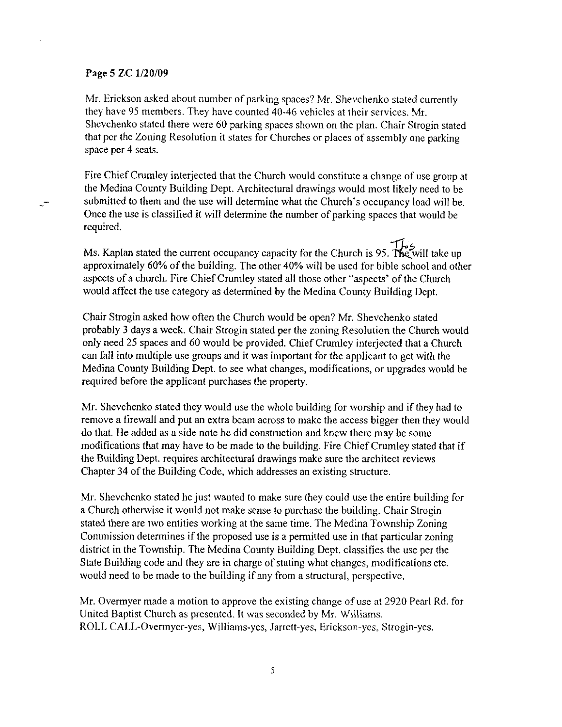### Page 5 ZC 1/20/09

ే

Mr. Erickson asked about number of parking spaces? Mr. Shevchenko stated currently they have 95 members. They have counted 40-46 vehicles at their services. Mr. Shevchenko stated there were 60 parking spaces shown on the plan. Chair Strogin stated that per the Zoning Resolution it states for Churches or places of assembly one parking space per 4 seats.

Fire Chief Crumley interjected that the Church would constitute a change of use group at the Medina County Building Dept. Architectural drawings would most likely need to be submitted to them and the use will determine what the Church's occupancy load will be. Once the use is classified it will determine the number of parking spaces that would be required.

-.r't Ms. Kaplan stated the current occupancy capacity for the Church is 95. The will take up approximately 60% of the building. The other 40% will be used for bible school and other aspects of a church. Fire Chief Crumley stated all those other "aspects' of the Church would affect the use category as determined by the Medina County Building Dept.

Chair Strogin asked how often the Church would be open? Mr. Shevchenko stated probably 3 days a week. Chair Strogin stated per the zoning Resolution the Church would only need 25 spaces and 60 would be provided. Chief Crumley interjected that a Church can fall into multiple use groups and it was important for the applicant to get with the Medina County Building Dept. to see what changes, modifications, or upgrades would be required before the applicant purchases the property.

Mr. Shevchenko stated they would use the whole building for worship and if they had to remove a firewall and put an extra beam across to make the access bigger then they would do that. He added as a side note he did construction and knew there may be some modifications that may have to be made to the building. Fire Chief Crumley stated that if the Building Dept. requires architectural drawings make sure 1he architect reviews Chapter 34 of the Building Code, which addresses an existing structure.

Mr. Shevchenko stated he just wanted to make sure they could use the entire building for a Church otherwise it would not make sense to purchase the building. Chair Strogin stated there are two entities working at the sanre time. The Medina Township Zoning Commission determines if the proposed use is a permitted use in that particular zoning district in the Township. The Medina County Building Dept. classifies the use per the State Building code and they are in charge of stating what changes, modifications etc. would need to be made to the building if any from a structural, perspective.

Mr. Overmyer made a motion to approve the existing change of use at 2920 Pearl Rd. for United Baptist Church as presented. It was seconded by Mr. Williams. ROLL CALL-Ovennyer-yes, Williams-yes, Jarrett-yes, Erickson-yes, Strogin-yes.